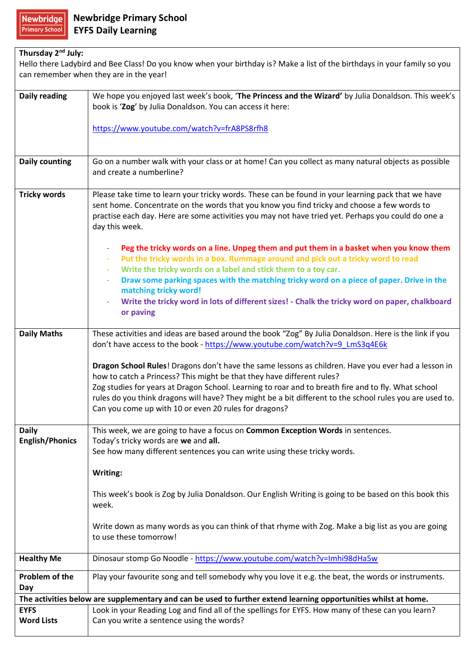| Thursday 2 <sup>nd</sup> July:                                                                                            |                                                                                                                                                                  |  |
|---------------------------------------------------------------------------------------------------------------------------|------------------------------------------------------------------------------------------------------------------------------------------------------------------|--|
| Hello there Ladybird and Bee Class! Do you know when your birthday is? Make a list of the birthdays in your family so you |                                                                                                                                                                  |  |
| can remember when they are in the year!                                                                                   |                                                                                                                                                                  |  |
|                                                                                                                           |                                                                                                                                                                  |  |
| <b>Daily reading</b>                                                                                                      | We hope you enjoyed last week's book, 'The Princess and the Wizard' by Julia Donaldson. This week's<br>book is 'Zog' by Julia Donaldson. You can access it here: |  |
|                                                                                                                           |                                                                                                                                                                  |  |
|                                                                                                                           | https://www.youtube.com/watch?v=frA8PS8rfh8                                                                                                                      |  |
|                                                                                                                           |                                                                                                                                                                  |  |
|                                                                                                                           |                                                                                                                                                                  |  |
| <b>Daily counting</b>                                                                                                     | Go on a number walk with your class or at home! Can you collect as many natural objects as possible<br>and create a numberline?                                  |  |
|                                                                                                                           |                                                                                                                                                                  |  |
| <b>Tricky words</b>                                                                                                       | Please take time to learn your tricky words. These can be found in your learning pack that we have                                                               |  |
|                                                                                                                           | sent home. Concentrate on the words that you know you find tricky and choose a few words to                                                                      |  |
|                                                                                                                           | practise each day. Here are some activities you may not have tried yet. Perhaps you could do one a                                                               |  |
|                                                                                                                           | day this week.                                                                                                                                                   |  |
|                                                                                                                           | Peg the tricky words on a line. Unpeg them and put them in a basket when you know them                                                                           |  |
|                                                                                                                           | Put the tricky words in a box. Rummage around and pick out a tricky word to read                                                                                 |  |
|                                                                                                                           | Write the tricky words on a label and stick them to a toy car.                                                                                                   |  |
|                                                                                                                           | Draw some parking spaces with the matching tricky word on a piece of paper. Drive in the<br>matching tricky word!                                                |  |
|                                                                                                                           | Write the tricky word in lots of different sizes! - Chalk the tricky word on paper, chalkboard                                                                   |  |
|                                                                                                                           | or paving                                                                                                                                                        |  |
|                                                                                                                           |                                                                                                                                                                  |  |
| <b>Daily Maths</b>                                                                                                        | These activities and ideas are based around the book "Zog" By Julia Donaldson. Here is the link if you                                                           |  |
|                                                                                                                           | don't have access to the book - https://www.youtube.com/watch?v=9_LmS3q4E6k                                                                                      |  |
|                                                                                                                           | Dragon School Rules! Dragons don't have the same lessons as children. Have you ever had a lesson in                                                              |  |
|                                                                                                                           | how to catch a Princess? This might be that they have different rules?                                                                                           |  |
|                                                                                                                           | Zog studies for years at Dragon School. Learning to roar and to breath fire and to fly. What school                                                              |  |
|                                                                                                                           | rules do you think dragons will have? They might be a bit different to the school rules you are used to.                                                         |  |
|                                                                                                                           | Can you come up with 10 or even 20 rules for dragons?                                                                                                            |  |
| <b>Daily</b>                                                                                                              | This week, we are going to have a focus on Common Exception Words in sentences.                                                                                  |  |
| <b>English/Phonics</b>                                                                                                    | Today's tricky words are we and all.                                                                                                                             |  |
|                                                                                                                           | See how many different sentences you can write using these tricky words.                                                                                         |  |
|                                                                                                                           | Writing:                                                                                                                                                         |  |
|                                                                                                                           |                                                                                                                                                                  |  |
|                                                                                                                           | This week's book is Zog by Julia Donaldson. Our English Writing is going to be based on this book this                                                           |  |
|                                                                                                                           | week.                                                                                                                                                            |  |
|                                                                                                                           | Write down as many words as you can think of that rhyme with Zog. Make a big list as you are going                                                               |  |
|                                                                                                                           | to use these tomorrow!                                                                                                                                           |  |
|                                                                                                                           |                                                                                                                                                                  |  |
| <b>Healthy Me</b>                                                                                                         | Dinosaur stomp Go Noodle - https://www.youtube.com/watch?v=Imhi98dHa5w                                                                                           |  |
| Problem of the                                                                                                            | Play your favourite song and tell somebody why you love it e.g. the beat, the words or instruments.                                                              |  |
| Day<br>The activities below are supplementary and can be used to further extend learning opportunities whilst at home.    |                                                                                                                                                                  |  |
| <b>EYFS</b>                                                                                                               | Look in your Reading Log and find all of the spellings for EYFS. How many of these can you learn?                                                                |  |
| <b>Word Lists</b>                                                                                                         | Can you write a sentence using the words?                                                                                                                        |  |
|                                                                                                                           |                                                                                                                                                                  |  |

٦